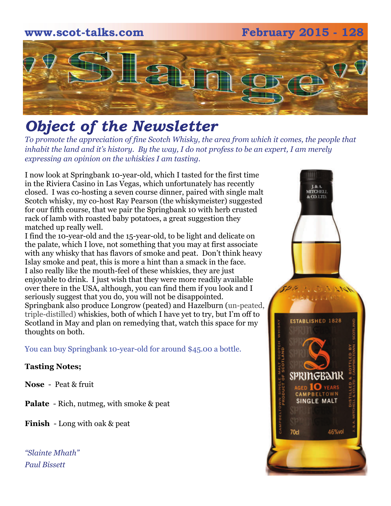# **www.scot-talks.com February 2015 - 128** [2]

### *Object of the Newsletter*

*To promote the appreciation of fine Scotch Whisky, the area from which it comes, the people that inhabit the land and it's history. By the way, I do not profess to be an expert, I am merely expressing an opinion on the whiskies I am tasting.* 

I now look at Springbank 10-year-old, which I tasted for the first time in the Riviera Casino in Las Vegas, which unfortunately has recently closed. I was co-hosting a seven course dinner, paired with single malt Scotch whisky, my co-host Ray Pearson (the whiskymeister) suggested for our fifth course, that we pair the Springbank 10 with herb crusted rack of lamb with roasted baby potatoes, a great suggestion they matched up really well.

I find the 10-year-old and the 15-year-old, to be light and delicate on the palate, which I love, not something that you may at first associate with any whisky that has flavors of smoke and peat. Don't think heavy Islay smoke and peat, this is more a hint than a smack in the face. I also really like the mouth-feel of these whiskies, they are just enjoyable to drink. I just wish that they were more readily available over there in the USA, although, you can find them if you look and I seriously suggest that you do, you will not be disappointed. Springbank also produce Longrow (peated) and Hazelburn (un-peated, triple-distilled) whiskies, both of which I have yet to try, but I'm off to Scotland in May and plan on remedying that, watch this space for my thoughts on both.

You can buy Springbank 10-year-old for around \$45.00 a bottle.

#### **Tasting Notes;**

**Nose** - Peat & fruit

**Palate** - Rich, nutmeg, with smoke & peat

**Finish** - Long with oak & peat

*"Slainte Mhath" Paul Bissett*

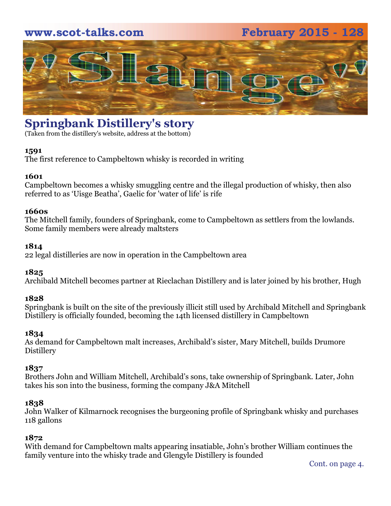#### **www.scot-talks.com February 2015 - 128**



#### **Springbank Distillery's story**

(Taken from the distillery's website, address at the bottom)

#### **1591**

The first reference to Campbeltown whisky is recorded in writing

#### **1601**

Campbeltown becomes a whisky smuggling centre and the illegal production of whisky, then also referred to as 'Uisge Beatha', Gaelic for 'water of life' is rife

#### **1660s**

The Mitchell family, founders of Springbank, come to Campbeltown as settlers from the lowlands. Some family members were already maltsters

#### **1814**

22 legal distilleries are now in operation in the Campbeltown area

#### **1825**

Archibald Mitchell becomes partner at Rieclachan Distillery and is later joined by his brother, Hugh

#### **1828**

Springbank is built on the site of the previously illicit still used by Archibald Mitchell and Springbank Distillery is officially founded, becoming the 14th licensed distillery in Campbeltown

#### **1834**

As demand for Campbeltown malt increases, Archibald's sister, Mary Mitchell, builds Drumore Distillery

#### **1837**

Brothers John and William Mitchell, Archibald's sons, take ownership of Springbank. Later, John takes his son into the business, forming the company J&A Mitchell

#### **1838**

John Walker of Kilmarnock recognises the burgeoning profile of Springbank whisky and purchases 118 gallons

#### **1872**

With demand for Campbeltown malts appearing insatiable, John's brother William continues the family venture into the whisky trade and Glengyle Distillery is founded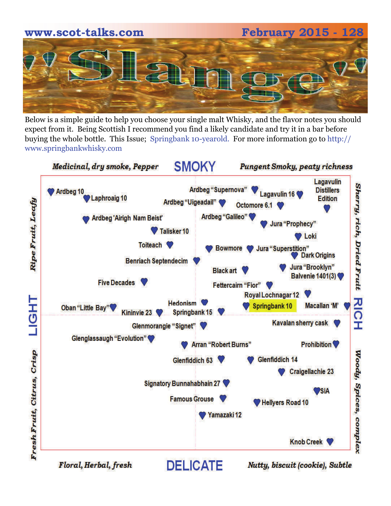# **www.scot-talks.com February 2015 - 128**

Below is a simple guide to help you choose your single malt Whisky, and the flavor notes you should expect from it. Being Scottish I recommend you find a likely candidate and try it in a bar before buying the whole bottle. This Issue; Springbank 10-yearold. For more information go to http:// www.springbankwhisky.com

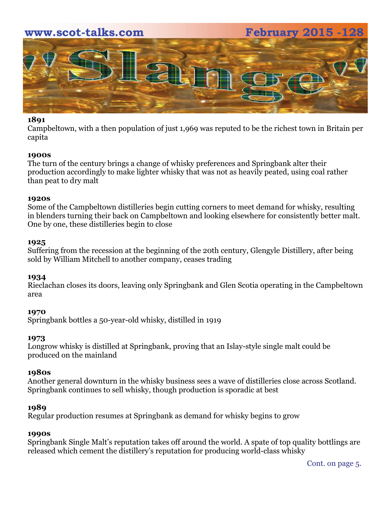#### **www.scot-talks.com February 2015 -128**



#### **1891**

Campbeltown, with a then population of just 1,969 was reputed to be the richest town in Britain per capita

#### **1900s**

The turn of the century brings a change of whisky preferences and Springbank alter their production accordingly to make lighter whisky that was not as heavily peated, using coal rather than peat to dry malt

#### **1920s**

Some of the Campbeltown distilleries begin cutting corners to meet demand for whisky, resulting in blenders turning their back on Campbeltown and looking elsewhere for consistently better malt. One by one, these distilleries begin to close

#### **1925**

Suffering from the recession at the beginning of the 20th century, Glengyle Distillery, after being sold by William Mitchell to another company, ceases trading

#### **1934**

Rieclachan closes its doors, leaving only Springbank and Glen Scotia operating in the Campbeltown area

#### **1970**

Springbank bottles a 50-year-old whisky, distilled in 1919

#### **1973**

Longrow whisky is distilled at Springbank, proving that an Islay-style single malt could be produced on the mainland

#### **1980s**

Another general downturn in the whisky business sees a wave of distilleries close across Scotland. Springbank continues to sell whisky, though production is sporadic at best

#### **1989**

Regular production resumes at Springbank as demand for whisky begins to grow

#### **1990s**

Springbank Single Malt's reputation takes off around the world. A spate of top quality bottlings are released which cement the distillery's reputation for producing world-class whisky

Cont. on page 5.